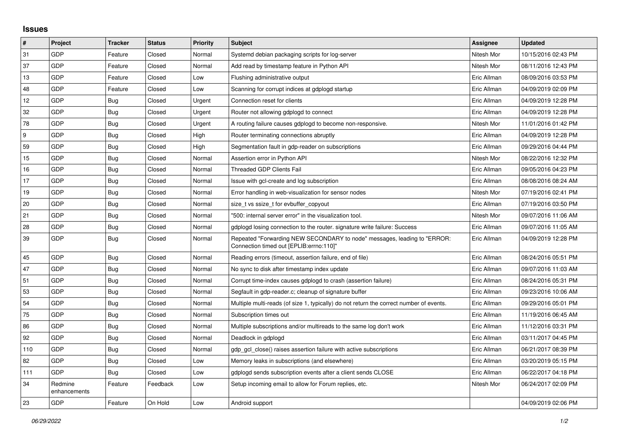## **Issues**

| $\vert$ # | Project                 | <b>Tracker</b> | <b>Status</b> | Priority | <b>Subject</b>                                                                                                      | Assignee    | <b>Updated</b>      |
|-----------|-------------------------|----------------|---------------|----------|---------------------------------------------------------------------------------------------------------------------|-------------|---------------------|
| 31        | GDP                     | Feature        | Closed        | Normal   | Systemd debian packaging scripts for log-server                                                                     | Nitesh Mor  | 10/15/2016 02:43 PM |
| 37        | GDP                     | Feature        | Closed        | Normal   | Add read by timestamp feature in Python API                                                                         | Nitesh Mor  | 08/11/2016 12:43 PM |
| 13        | GDP                     | Feature        | Closed        | Low      | Flushing administrative output                                                                                      | Eric Allman | 08/09/2016 03:53 PM |
| 48        | GDP                     | Feature        | Closed        | Low      | Scanning for corrupt indices at gdplogd startup                                                                     | Eric Allman | 04/09/2019 02:09 PM |
| 12        | GDP                     | <b>Bug</b>     | Closed        | Urgent   | Connection reset for clients                                                                                        | Eric Allman | 04/09/2019 12:28 PM |
| 32        | GDP                     | <b>Bug</b>     | Closed        | Urgent   | Router not allowing gdplogd to connect                                                                              | Eric Allman | 04/09/2019 12:28 PM |
| 78        | GDP                     | Bug            | Closed        | Urgent   | A routing failure causes gdplogd to become non-responsive.                                                          | Nitesh Mor  | 11/01/2016 01:42 PM |
| l 9       | GDP                     | <b>Bug</b>     | Closed        | High     | Router terminating connections abruptly                                                                             | Eric Allman | 04/09/2019 12:28 PM |
| 59        | GDP                     | <b>Bug</b>     | Closed        | High     | Segmentation fault in gdp-reader on subscriptions                                                                   | Eric Allman | 09/29/2016 04:44 PM |
| 15        | GDP                     | Bug            | Closed        | Normal   | Assertion error in Python API                                                                                       | Nitesh Mor  | 08/22/2016 12:32 PM |
| 16        | GDP                     | Bug            | Closed        | Normal   | <b>Threaded GDP Clients Fail</b>                                                                                    | Eric Allman | 09/05/2016 04:23 PM |
| 17        | GDP                     | Bug            | Closed        | Normal   | Issue with gcl-create and log subscription                                                                          | Eric Allman | 08/08/2016 08:24 AM |
| 19        | GDP                     | <b>Bug</b>     | Closed        | Normal   | Error handling in web-visualization for sensor nodes                                                                | Nitesh Mor  | 07/19/2016 02:41 PM |
| 20        | GDP                     | <b>Bug</b>     | Closed        | Normal   | size_t vs ssize_t for evbuffer_copyout                                                                              | Eric Allman | 07/19/2016 03:50 PM |
| 21        | GDP                     | Bug            | Closed        | Normal   | '500: internal server error" in the visualization tool.                                                             | Nitesh Mor  | 09/07/2016 11:06 AM |
| 28        | GDP                     | Bug            | Closed        | Normal   | gdplogd losing connection to the router. signature write failure: Success                                           | Eric Allman | 09/07/2016 11:05 AM |
| 39        | GDP                     | Bug            | Closed        | Normal   | Repeated "Forwarding NEW SECONDARY to node" messages, leading to "ERROR:<br>Connection timed out [EPLIB:errno:110]" | Eric Allman | 04/09/2019 12:28 PM |
| 45        | GDP                     | Bug            | Closed        | Normal   | Reading errors (timeout, assertion failure, end of file)                                                            | Eric Allman | 08/24/2016 05:51 PM |
| 47        | GDP                     | Bug            | Closed        | Normal   | No sync to disk after timestamp index update                                                                        | Eric Allman | 09/07/2016 11:03 AM |
| 51        | GDP                     | Bug            | Closed        | Normal   | Corrupt time-index causes gdplogd to crash (assertion failure)                                                      | Eric Allman | 08/24/2016 05:31 PM |
| 53        | GDP                     | <b>Bug</b>     | Closed        | Normal   | Segfault in gdp-reader.c; cleanup of signature buffer                                                               | Eric Allman | 09/23/2016 10:06 AM |
| 54        | GDP                     | <b>Bug</b>     | Closed        | Normal   | Multiple multi-reads (of size 1, typically) do not return the correct number of events.                             | Eric Allman | 09/29/2016 05:01 PM |
| 75        | GDP                     | Bug            | Closed        | Normal   | Subscription times out                                                                                              | Eric Allman | 11/19/2016 06:45 AM |
| 86        | GDP                     | <b>Bug</b>     | Closed        | Normal   | Multiple subscriptions and/or multireads to the same log don't work                                                 | Eric Allman | 11/12/2016 03:31 PM |
| 92        | GDP                     | <b>Bug</b>     | Closed        | Normal   | Deadlock in gdplogd                                                                                                 | Eric Allman | 03/11/2017 04:45 PM |
| 110       | GDP                     | Bug            | Closed        | Normal   | gdp gcl close() raises assertion failure with active subscriptions                                                  | Eric Allman | 06/21/2017 08:39 PM |
| 82        | GDP                     | Bug            | Closed        | Low      | Memory leaks in subscriptions (and elsewhere)                                                                       | Eric Allman | 03/20/2019 05:15 PM |
| 111       | GDP                     | Bug            | Closed        | Low      | gdplogd sends subscription events after a client sends CLOSE                                                        | Eric Allman | 06/22/2017 04:18 PM |
| 34        | Redmine<br>enhancements | Feature        | Feedback      | Low      | Setup incoming email to allow for Forum replies, etc.                                                               | Nitesh Mor  | 06/24/2017 02:09 PM |
| 23        | GDP                     | Feature        | On Hold       | Low      | Android support                                                                                                     |             | 04/09/2019 02:06 PM |